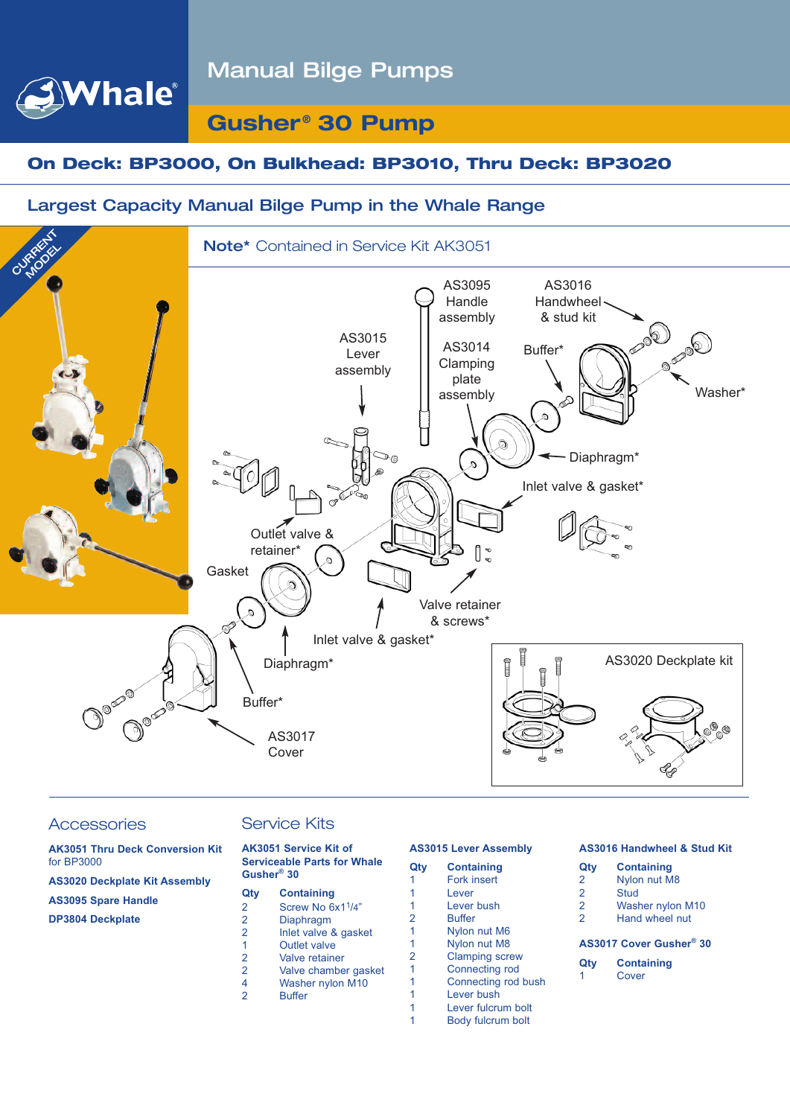# **Manual Bilge Pumps**



# **Gusher ® 30 Pump**

## **On Deck: BP3000, On Bulkhead: BP3010, Thru Deck: BP3020**

### **Largest Capacity Manual Bilge Pump in the Whale Range**



### **Accessories**

Service Kits

**AK3051 Thru Deck Conversion Kit** for BP3000

**AS3020 Deckplate Kit Assembly**

**AS3095 Spare Handle DP3804 Deckplate**

**AK3051 Service Kit of Serviceable Parts for Whale Gusher® 30**

| Qty            | <b>Containing</b>       |
|----------------|-------------------------|
| $\overline{2}$ | Screw No 6x11/4"        |
| $\overline{2}$ | Diaphragm               |
| $\overline{2}$ | Inlet valve & gasket    |
| $\overline{1}$ | <b>Outlet valve</b>     |
| $\overline{2}$ | Valve retainer          |
| $\overline{2}$ | Valve chamber gasket    |
| 4              | <b>Washer nylon M10</b> |
| $\overline{2}$ | <b>Buffer</b>           |
|                |                         |
|                |                         |

#### **AS3015 Lever Assembly**

| Qty | <b>Containing</b>     |
|-----|-----------------------|
| 1   | <b>Fork insert</b>    |
| 1   | Lever                 |
| 1   | Lever bush            |
| 2   | <b>Buffer</b>         |
| 1   | Nylon nut M6          |
| 1   | Nylon nut M8          |
| 2   | <b>Clamping screw</b> |
| 1   | <b>Connecting rod</b> |
| 1   | Connecting rod bush   |
| 1   | Lever bush            |
| 1   | Lever fulcrum bolt    |
|     | Body fulcrum bolt     |
|     |                       |

#### **AS3016 Handwheel & Stud Kit**

| Qty            | <b>Containing</b>                   |
|----------------|-------------------------------------|
| $\overline{2}$ | Nylon nut M8                        |
| $\overline{2}$ | Stud                                |
| $\overline{2}$ | Washer nylon M10                    |
| $\overline{2}$ | Hand wheel nut                      |
|                | AS3017 Cover Gusher <sup>®</sup> 30 |
| Qty            | <b>Containing</b>                   |
|                | Cover                               |